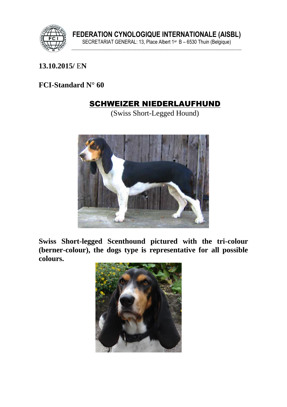

## **13.10.2015/** E**N**

### **FCI-Standard N° 60**

# SCHWEIZER NIEDERLAUFHUND

(Swiss Short-Legged Hound)



**Swiss Short-legged Scenthound pictured with the tri-colour (berner-colour), the dogs type is representative for all possible colours.**

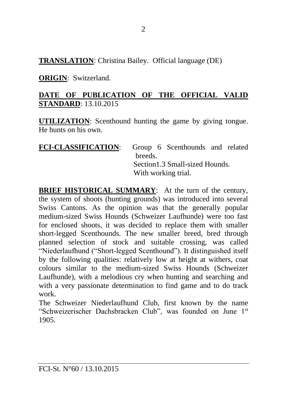## **TRANSLATION**: Christina Bailey. Official language (DE)

## **ORIGIN**: Switzerland.

## **DATE OF PUBLICATION OF THE OFFICIAL VALID STANDARD**: 13.10.2015

**UTILIZATION**: Scenthound hunting the game by giving tongue. He hunts on his own.

| <b>FCI-CLASSIFICATION:</b> |                                 | Group 6 Scenthounds and related |  |  |
|----------------------------|---------------------------------|---------------------------------|--|--|
|                            | breeds.                         |                                 |  |  |
|                            | Section 1.3 Small-sized Hounds. |                                 |  |  |
|                            | With working trial.             |                                 |  |  |

**BRIEF HISTORICAL SUMMARY:** At the turn of the century, the system of shoots (hunting grounds) was introduced into several Swiss Cantons. As the opinion was that the generally popular medium-sized Swiss Hounds (Schweizer Laufhunde) were too fast for enclosed shoots, it was decided to replace them with smaller short-legged Scenthounds. The new smaller breed, bred through planned selection of stock and suitable crossing, was called "Niederlaufhund ("Short-legged Scenthound"). It distinguished itself by the following qualities: relatively low at height at withers, coat colours similar to the medium-sized Swiss Hounds (Schweizer Laufhunde), with a melodious cry when hunting and searching and with a very passionate determination to find game and to do track work.

The Schweizer Niederlaufhund Club, first known by the name "Schweizerischer Dachsbracken Club", was founded on June 1st 1905.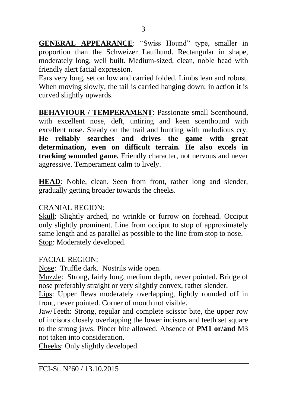**GENERAL APPEARANCE**: "Swiss Hound" type, smaller in proportion than the Schweizer Laufhund. Rectangular in shape, moderately long, well built. Medium-sized, clean, noble head with friendly alert facial expression.

Ears very long, set on low and carried folded. Limbs lean and robust. When moving slowly, the tail is carried hanging down; in action it is curved slightly upwards.

**BEHAVIOUR / TEMPERAMENT: Passionate small Scenthound.** with excellent nose, deft, untiring and keen scenthound with excellent nose. Steady on the trail and hunting with melodious cry. **He reliably searches and drives the game with great determination, even on difficult terrain. He also excels in tracking wounded game.** Friendly character, not nervous and never aggressive. Temperament calm to lively.

**HEAD**: Noble, clean. Seen from front, rather long and slender, gradually getting broader towards the cheeks.

### CRANIAL REGION:

Skull: Slightly arched, no wrinkle or furrow on forehead. Occiput only slightly prominent. Line from occiput to stop of approximately same length and as parallel as possible to the line from stop to nose. Stop: Moderately developed.

## FACIAL REGION:

Nose: Truffle dark. Nostrils wide open.

Muzzle: Strong, fairly long, medium depth, never pointed. Bridge of nose preferably straight or very slightly convex, rather slender.

Lips: Upper flews moderately overlapping, lightly rounded off in front, never pointed. Corner of mouth not visible.

Jaw/Teeth: Strong, regular and complete scissor bite, the upper row of incisors closely overlapping the lower incisors and teeth set square to the strong jaws. Pincer bite allowed. Absence of **PM1 or/and** M3 not taken into consideration.

Cheeks: Only slightly developed.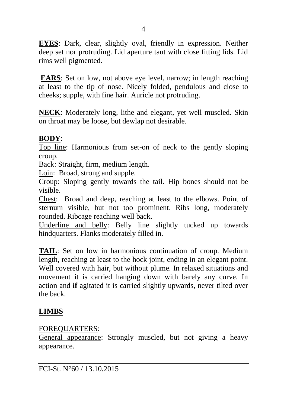**EYES**: Dark, clear, slightly oval, friendly in expression. Neither deep set nor protruding. Lid aperture taut with close fitting lids. Lid rims well pigmented.

**EARS**: Set on low, not above eye level, narrow; in length reaching at least to the tip of nose. Nicely folded, pendulous and close to cheeks; supple, with fine hair. Auricle not protruding.

**NECK**: Moderately long, lithe and elegant, yet well muscled. Skin on throat may be loose, but dewlap not desirable.

#### **BODY**:

Top line: Harmonious from set-on of neck to the gently sloping croup.

Back: Straight, firm, medium length.

Loin: Broad, strong and supple.

Croup: Sloping gently towards the tail. Hip bones should not be visible.

Chest: Broad and deep, reaching at least to the elbows. Point of sternum visible, but not too prominent. Ribs long, moderately rounded. Ribcage reaching well back.

Underline and belly: Belly line slightly tucked up towards hindquarters. Flanks moderately filled in.

**TAIL**: Set on low in harmonious continuation of croup. Medium length, reaching at least to the hock joint, ending in an elegant point. Well covered with hair, but without plume*.* In relaxed situations and movement it is carried hanging down with barely any curve. In action and **if** agitated it is carried slightly upwards, never tilted over the back.

## **LIMBS**

#### FOREQUARTERS:

General appearance: Strongly muscled, but not giving a heavy appearance.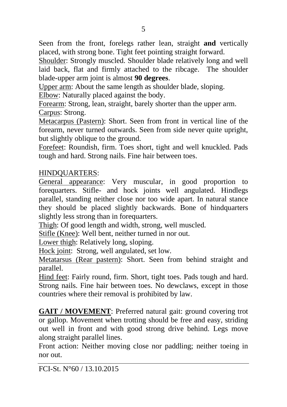Seen from the front, forelegs rather lean, straight **and** vertically placed, with strong bone. Tight feet pointing straight forward.

Shoulder: Strongly muscled. Shoulder blade relatively long and well laid back, flat and firmly attached to the ribcage. The shoulder blade-upper arm joint is almost **90 degrees**.

Upper arm: About the same length as shoulder blade, sloping.

Elbow: Naturally placed against the body.

Forearm: Strong, lean, straight, barely shorter than the upper arm. Carpus: Strong.

Metacarpus (Pastern): Short. Seen from front in vertical line of the forearm, never turned outwards. Seen from side never quite upright, but slightly oblique to the ground.

Forefeet: Roundish, firm. Toes short, tight and well knuckled. Pads tough and hard. Strong nails. Fine hair between toes.

## HINDQUARTERS:

General appearance: Very muscular, in good proportion to forequarters. Stifle- and hock joints well angulated. Hindlegs parallel, standing neither close nor too wide apart. In natural stance they should be placed slightly backwards. Bone of hindquarters slightly less strong than in forequarters.

Thigh: Of good length and width, strong, well muscled.

Stifle (Knee): Well bent, neither turned in nor out.

Lower thigh: Relatively long, sloping.

Hock joint: Strong, well angulated, set low.

Metatarsus (Rear pastern): Short. Seen from behind straight and parallel.

Hind feet: Fairly round, firm. Short, tight toes. Pads tough and hard. Strong nails. Fine hair between toes. No dewclaws, except in those countries where their removal is prohibited by law.

**GAIT / MOVEMENT**: Preferred natural gait: ground covering trot or gallop. Movement when trotting should be free and easy, striding out well in front and with good strong drive behind. Legs move along straight parallel lines.

Front action: Neither moving close nor paddling; neither toeing in nor out.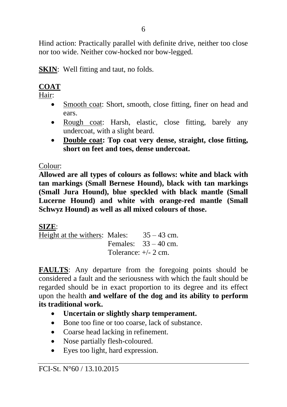Hind action: Practically parallel with definite drive, neither too close nor too wide. Neither cow-hocked nor bow-legged.

**SKIN:** Well fitting and taut, no folds.

# **COAT**

Hair:

- Smooth coat: Short, smooth, close fitting, finer on head and ears.
- Rough coat: Harsh, elastic, close fitting, barely any undercoat, with a slight beard.
- **Double coat: Top coat very dense, straight, close fitting, short on feet and toes, dense undercoat.**

Colour:

**Allowed are all types of colours as follows: white and black with tan markings (Small Bernese Hound), black with tan markings (Small Jura Hound), blue speckled with black mantle (Small Lucerne Hound) and white with orange-red mantle (Small Schwyz Hound) as well as all mixed colours of those.**

**SIZE**:

Height at the withers: Males:  $35 - 43$  cm. Females:  $33 - 40$  cm. Tolerance:  $\pm/2$  cm.

**FAULTS**: Any departure from the foregoing points should be considered a fault and the seriousness with which the fault should be regarded should be in exact proportion to its degree and its effect upon the health **and welfare of the dog and its ability to perform its traditional work.**

- **Uncertain or slightly sharp temperament.**
- Bone too fine or too coarse, lack of substance.
- Coarse head lacking in refinement.
- Nose partially flesh-coloured.
- Eves too light, hard expression.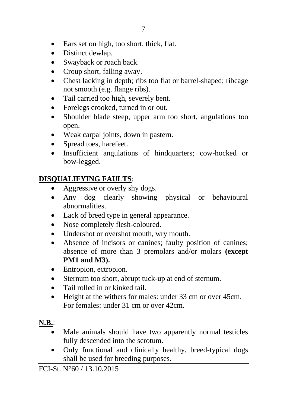- Ears set on high, too short, thick, flat.
- Distinct dewlap.
- Swayback or roach back.
- Croup short, falling away.
- Chest lacking in depth; ribs too flat or barrel-shaped; ribcage not smooth (e.g. flange ribs).
- Tail carried too high, severely bent.
- Forelegs crooked, turned in or out.
- Shoulder blade steep, upper arm too short, angulations too open.
- Weak carpal joints, down in pastern.
- Spread toes, harefeet.
- Insufficient angulations of hindquarters: cow-hocked or bow-legged.

## **DISQUALIFYING FAULTS**:

- Aggressive or overly shy dogs.
- Any dog clearly showing physical or behavioural abnormalities.
- Lack of breed type in general appearance.
- Nose completely flesh-coloured.
- Undershot or overshot mouth, wry mouth.
- Absence of incisors or canines; faulty position of canines; absence of more than 3 premolars and/or molars **(except PM1 and M3).**
- Entropion, ectropion.
- Sternum too short, abrupt tuck-up at end of sternum.
- Tail rolled in or kinked tail.
- Height at the withers for males: under 33 cm or over 45 cm. For females: under 31 cm or over 42cm.

## **N.B.**:

- Male animals should have two apparently normal testicles fully descended into the scrotum.
- Only functional and clinically healthy, breed-typical dogs shall be used for breeding purposes.

FCI-St. N°60 / 13.10.2015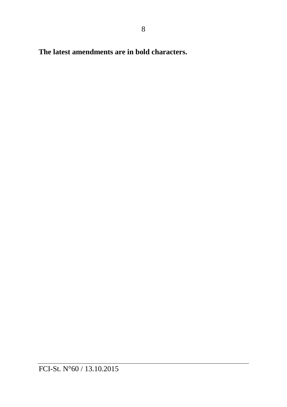**The latest amendments are in bold characters.**